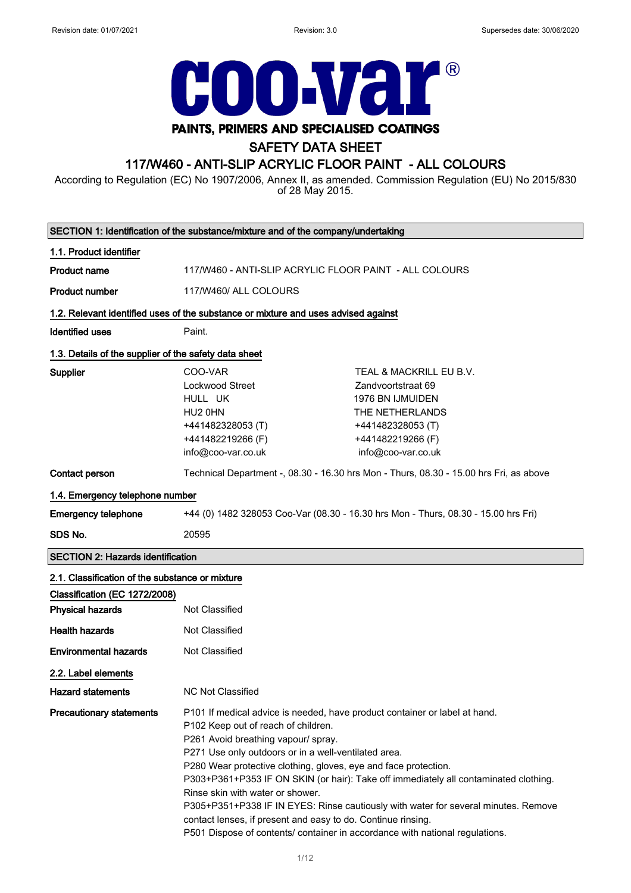

# SAFETY DATA SHEET

### 117/W460 - ANTI-SLIP ACRYLIC FLOOR PAINT - ALL COLOURS

According to Regulation (EC) No 1907/2006, Annex II, as amended. Commission Regulation (EU) No 2015/830 of 28 May 2015.

| SECTION 1: Identification of the substance/mixture and of the company/undertaking |                                                                                                                                                                                                                                                                                                                                                                                                                                                                         |                                                                                                                                                                            |
|-----------------------------------------------------------------------------------|-------------------------------------------------------------------------------------------------------------------------------------------------------------------------------------------------------------------------------------------------------------------------------------------------------------------------------------------------------------------------------------------------------------------------------------------------------------------------|----------------------------------------------------------------------------------------------------------------------------------------------------------------------------|
| 1.1. Product identifier                                                           |                                                                                                                                                                                                                                                                                                                                                                                                                                                                         |                                                                                                                                                                            |
| <b>Product name</b>                                                               | 117/W460 - ANTI-SLIP ACRYLIC FLOOR PAINT - ALL COLOURS                                                                                                                                                                                                                                                                                                                                                                                                                  |                                                                                                                                                                            |
| <b>Product number</b>                                                             | 117/W460/ ALL COLOURS                                                                                                                                                                                                                                                                                                                                                                                                                                                   |                                                                                                                                                                            |
|                                                                                   | 1.2. Relevant identified uses of the substance or mixture and uses advised against                                                                                                                                                                                                                                                                                                                                                                                      |                                                                                                                                                                            |
| <b>Identified uses</b>                                                            | Paint.                                                                                                                                                                                                                                                                                                                                                                                                                                                                  |                                                                                                                                                                            |
| 1.3. Details of the supplier of the safety data sheet                             |                                                                                                                                                                                                                                                                                                                                                                                                                                                                         |                                                                                                                                                                            |
| Supplier                                                                          | COO-VAR<br><b>Lockwood Street</b><br>HULL UK<br>HU2 0HN<br>+441482328053 (T)<br>+441482219266 (F)<br>info@coo-var.co.uk                                                                                                                                                                                                                                                                                                                                                 | TEAL & MACKRILL EU B.V.<br>Zandvoortstraat 69<br><b>1976 BN IJMUIDEN</b><br>THE NETHERLANDS<br>+441482328053 (T)<br>+441482219266 (F)<br>info@coo-var.co.uk                |
| Contact person                                                                    |                                                                                                                                                                                                                                                                                                                                                                                                                                                                         | Technical Department -, 08.30 - 16.30 hrs Mon - Thurs, 08.30 - 15.00 hrs Fri, as above                                                                                     |
| 1.4. Emergency telephone number                                                   |                                                                                                                                                                                                                                                                                                                                                                                                                                                                         |                                                                                                                                                                            |
| <b>Emergency telephone</b>                                                        | +44 (0) 1482 328053 Coo-Var (08.30 - 16.30 hrs Mon - Thurs, 08.30 - 15.00 hrs Fri)                                                                                                                                                                                                                                                                                                                                                                                      |                                                                                                                                                                            |
| SDS No.                                                                           | 20595                                                                                                                                                                                                                                                                                                                                                                                                                                                                   |                                                                                                                                                                            |
| <b>SECTION 2: Hazards identification</b>                                          |                                                                                                                                                                                                                                                                                                                                                                                                                                                                         |                                                                                                                                                                            |
| 2.1. Classification of the substance or mixture                                   |                                                                                                                                                                                                                                                                                                                                                                                                                                                                         |                                                                                                                                                                            |
| Classification (EC 1272/2008)                                                     |                                                                                                                                                                                                                                                                                                                                                                                                                                                                         |                                                                                                                                                                            |
| <b>Physical hazards</b>                                                           | Not Classified                                                                                                                                                                                                                                                                                                                                                                                                                                                          |                                                                                                                                                                            |
| <b>Health hazards</b>                                                             | Not Classified                                                                                                                                                                                                                                                                                                                                                                                                                                                          |                                                                                                                                                                            |
| <b>Environmental hazards</b>                                                      | Not Classified                                                                                                                                                                                                                                                                                                                                                                                                                                                          |                                                                                                                                                                            |
| 2.2. Label elements                                                               |                                                                                                                                                                                                                                                                                                                                                                                                                                                                         |                                                                                                                                                                            |
| <b>Hazard statements</b>                                                          | <b>NC Not Classified</b>                                                                                                                                                                                                                                                                                                                                                                                                                                                |                                                                                                                                                                            |
| <b>Precautionary statements</b>                                                   | P101 If medical advice is needed, have product container or label at hand.<br>P102 Keep out of reach of children.<br>P261 Avoid breathing vapour/ spray.<br>P271 Use only outdoors or in a well-ventilated area.<br>P280 Wear protective clothing, gloves, eye and face protection.<br>Rinse skin with water or shower.<br>contact lenses, if present and easy to do. Continue rinsing.<br>P501 Dispose of contents/ container in accordance with national regulations. | P303+P361+P353 IF ON SKIN (or hair): Take off immediately all contaminated clothing.<br>P305+P351+P338 IF IN EYES: Rinse cautiously with water for several minutes. Remove |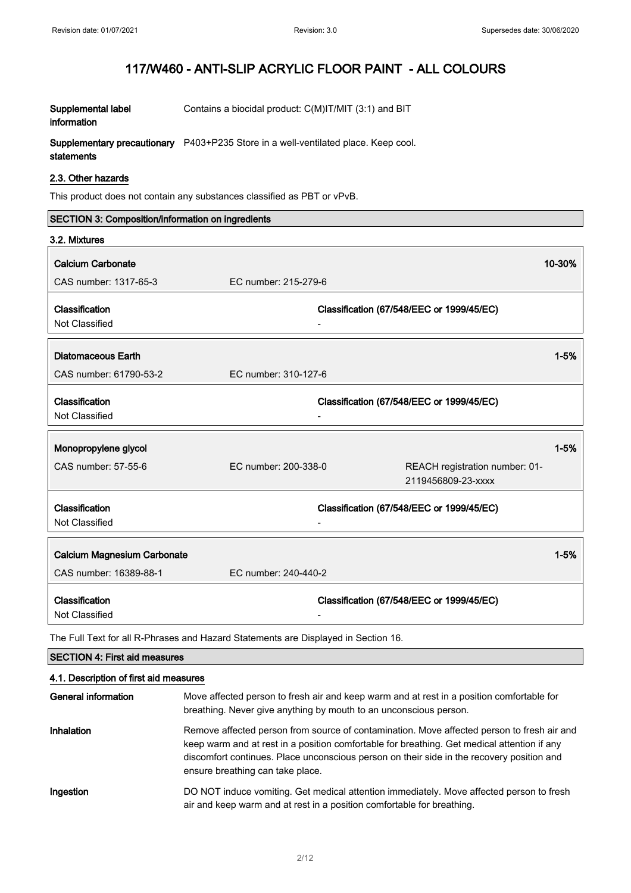| Supplemental label | Contains a biocidal product: C(M)IT/MIT (3:1) and BIT                                     |
|--------------------|-------------------------------------------------------------------------------------------|
| information        |                                                                                           |
|                    | <b>Supplementary precautionary</b> P403+P235 Store in a well-ventilated place. Keep cool. |

# statements

### 2.3. Other hazards

This product does not contain any substances classified as PBT or vPvB.

| SECTION 3: Composition/information on ingredients |                      |                                           |          |
|---------------------------------------------------|----------------------|-------------------------------------------|----------|
| 3.2. Mixtures                                     |                      |                                           |          |
| <b>Calcium Carbonate</b>                          |                      |                                           | 10-30%   |
| CAS number: 1317-65-3                             | EC number: 215-279-6 |                                           |          |
|                                                   |                      |                                           |          |
| Classification                                    |                      | Classification (67/548/EEC or 1999/45/EC) |          |
| Not Classified                                    |                      |                                           |          |
|                                                   |                      |                                           |          |
| Diatomaceous Earth                                |                      |                                           | $1 - 5%$ |
| CAS number: 61790-53-2                            | EC number: 310-127-6 |                                           |          |
| Classification                                    |                      | Classification (67/548/EEC or 1999/45/EC) |          |
| Not Classified                                    |                      |                                           |          |
|                                                   |                      |                                           |          |
| Monopropylene glycol                              |                      |                                           | $1 - 5%$ |
| CAS number: 57-55-6                               | EC number: 200-338-0 | REACH registration number: 01-            |          |
|                                                   |                      | 2119456809-23-xxxx                        |          |
| Classification                                    |                      |                                           |          |
| Not Classified                                    |                      | Classification (67/548/EEC or 1999/45/EC) |          |
|                                                   |                      |                                           |          |
| Calcium Magnesium Carbonate                       |                      |                                           | $1 - 5%$ |
| CAS number: 16389-88-1                            | EC number: 240-440-2 |                                           |          |
| Classification                                    |                      | Classification (67/548/EEC or 1999/45/EC) |          |
| Not Classified                                    |                      |                                           |          |

The Full Text for all R-Phrases and Hazard Statements are Displayed in Section 16.

| <b>SECTION 4: First aid measures</b><br>4.1. Description of first aid measures |                                                                                                                                                                                                                                                                                                                            |  |
|--------------------------------------------------------------------------------|----------------------------------------------------------------------------------------------------------------------------------------------------------------------------------------------------------------------------------------------------------------------------------------------------------------------------|--|
|                                                                                |                                                                                                                                                                                                                                                                                                                            |  |
| Inhalation                                                                     | Remove affected person from source of contamination. Move affected person to fresh air and<br>keep warm and at rest in a position comfortable for breathing. Get medical attention if any<br>discomfort continues. Place unconscious person on their side in the recovery position and<br>ensure breathing can take place. |  |
| Ingestion                                                                      | DO NOT induce vomiting. Get medical attention immediately. Move affected person to fresh<br>air and keep warm and at rest in a position comfortable for breathing.                                                                                                                                                         |  |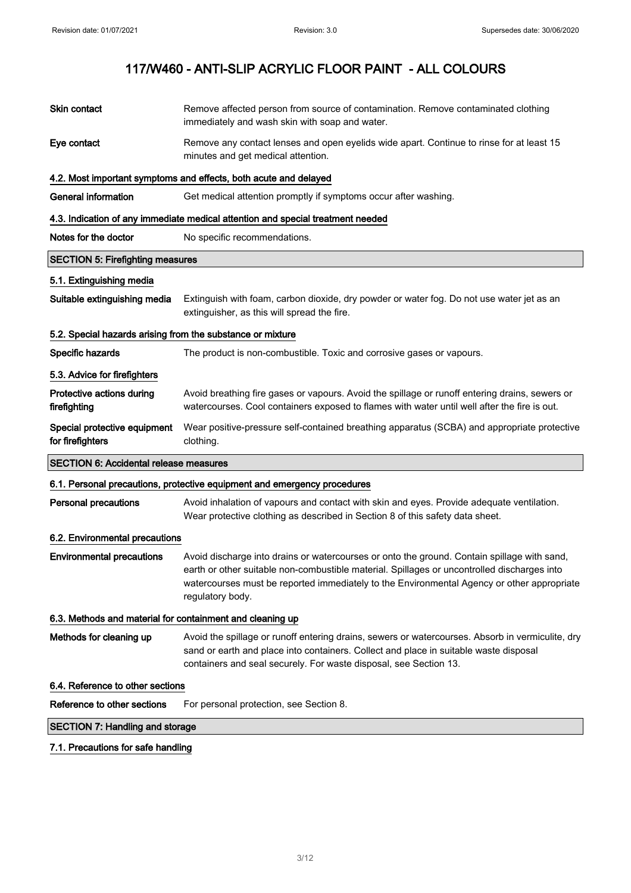| Skin contact                                               | Remove affected person from source of contamination. Remove contaminated clothing<br>immediately and wash skin with soap and water.                                                                                                                                                                          |  |  |
|------------------------------------------------------------|--------------------------------------------------------------------------------------------------------------------------------------------------------------------------------------------------------------------------------------------------------------------------------------------------------------|--|--|
| Eye contact                                                | Remove any contact lenses and open eyelids wide apart. Continue to rinse for at least 15<br>minutes and get medical attention.                                                                                                                                                                               |  |  |
|                                                            | 4.2. Most important symptoms and effects, both acute and delayed                                                                                                                                                                                                                                             |  |  |
| <b>General information</b>                                 | Get medical attention promptly if symptoms occur after washing.                                                                                                                                                                                                                                              |  |  |
|                                                            | 4.3. Indication of any immediate medical attention and special treatment needed                                                                                                                                                                                                                              |  |  |
| Notes for the doctor                                       | No specific recommendations.                                                                                                                                                                                                                                                                                 |  |  |
| <b>SECTION 5: Firefighting measures</b>                    |                                                                                                                                                                                                                                                                                                              |  |  |
| 5.1. Extinguishing media                                   |                                                                                                                                                                                                                                                                                                              |  |  |
| Suitable extinguishing media                               | Extinguish with foam, carbon dioxide, dry powder or water fog. Do not use water jet as an<br>extinguisher, as this will spread the fire.                                                                                                                                                                     |  |  |
| 5.2. Special hazards arising from the substance or mixture |                                                                                                                                                                                                                                                                                                              |  |  |
| Specific hazards                                           | The product is non-combustible. Toxic and corrosive gases or vapours.                                                                                                                                                                                                                                        |  |  |
| 5.3. Advice for firefighters                               |                                                                                                                                                                                                                                                                                                              |  |  |
| Protective actions during<br>firefighting                  | Avoid breathing fire gases or vapours. Avoid the spillage or runoff entering drains, sewers or<br>watercourses. Cool containers exposed to flames with water until well after the fire is out.                                                                                                               |  |  |
| Special protective equipment<br>for firefighters           | Wear positive-pressure self-contained breathing apparatus (SCBA) and appropriate protective<br>clothing.                                                                                                                                                                                                     |  |  |
|                                                            | <b>SECTION 6: Accidental release measures</b>                                                                                                                                                                                                                                                                |  |  |
|                                                            | 6.1. Personal precautions, protective equipment and emergency procedures                                                                                                                                                                                                                                     |  |  |
| <b>Personal precautions</b>                                | Avoid inhalation of vapours and contact with skin and eyes. Provide adequate ventilation.<br>Wear protective clothing as described in Section 8 of this safety data sheet.                                                                                                                                   |  |  |
| 6.2. Environmental precautions                             |                                                                                                                                                                                                                                                                                                              |  |  |
| <b>Environmental precautions</b>                           | Avoid discharge into drains or watercourses or onto the ground. Contain spillage with sand,<br>earth or other suitable non-combustible material. Spillages or uncontrolled discharges into<br>watercourses must be reported immediately to the Environmental Agency or other appropriate<br>regulatory body. |  |  |
| 6.3. Methods and material for containment and cleaning up  |                                                                                                                                                                                                                                                                                                              |  |  |
| Methods for cleaning up                                    | Avoid the spillage or runoff entering drains, sewers or watercourses. Absorb in vermiculite, dry<br>sand or earth and place into containers. Collect and place in suitable waste disposal<br>containers and seal securely. For waste disposal, see Section 13.                                               |  |  |
| 6.4. Reference to other sections                           |                                                                                                                                                                                                                                                                                                              |  |  |
| Reference to other sections                                | For personal protection, see Section 8.                                                                                                                                                                                                                                                                      |  |  |
| <b>SECTION 7: Handling and storage</b>                     |                                                                                                                                                                                                                                                                                                              |  |  |
| 7.1. Precautions for safe handling                         |                                                                                                                                                                                                                                                                                                              |  |  |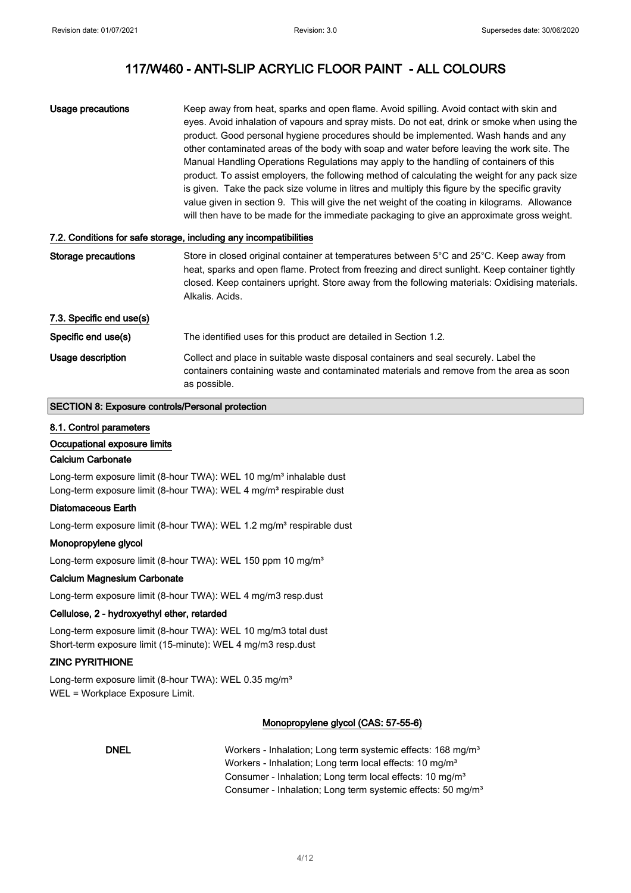| Usage precautions | Keep away from heat, sparks and open flame. Avoid spilling. Avoid contact with skin and<br>eyes. Avoid inhalation of vapours and spray mists. Do not eat, drink or smoke when using the<br>product. Good personal hygiene procedures should be implemented. Wash hands and any<br>other contaminated areas of the body with soap and water before leaving the work site. The<br>Manual Handling Operations Regulations may apply to the handling of containers of this<br>product. To assist employers, the following method of calculating the weight for any pack size<br>is given. Take the pack size volume in litres and multiply this figure by the specific gravity |
|-------------------|----------------------------------------------------------------------------------------------------------------------------------------------------------------------------------------------------------------------------------------------------------------------------------------------------------------------------------------------------------------------------------------------------------------------------------------------------------------------------------------------------------------------------------------------------------------------------------------------------------------------------------------------------------------------------|
|                   | value given in section 9. This will give the net weight of the coating in kilograms. Allowance<br>will then have to be made for the immediate packaging to give an approximate gross weight.                                                                                                                                                                                                                                                                                                                                                                                                                                                                               |

### 7.2. Conditions for safe storage, including any incompatibilities

| Storage precautions      | Store in closed original container at temperatures between 5°C and 25°C. Keep away from<br>heat, sparks and open flame. Protect from freezing and direct sunlight. Keep container tightly<br>closed. Keep containers upright. Store away from the following materials: Oxidising materials.<br>Alkalis, Acids, |
|--------------------------|----------------------------------------------------------------------------------------------------------------------------------------------------------------------------------------------------------------------------------------------------------------------------------------------------------------|
| 7.3. Specific end use(s) |                                                                                                                                                                                                                                                                                                                |
| Specific end use(s)      | The identified uses for this product are detailed in Section 1.2.                                                                                                                                                                                                                                              |
| Usage description        | Collect and place in suitable waste disposal containers and seal securely. Label the<br>containers containing waste and contaminated materials and remove from the area as soon<br>as possible.                                                                                                                |

### SECTION 8: Exposure controls/Personal protection

#### 8.1. Control parameters

Occupational exposure limits

### Calcium Carbonate

Long-term exposure limit (8-hour TWA): WEL 10 mg/m<sup>3</sup> inhalable dust Long-term exposure limit (8-hour TWA): WEL 4 mg/m<sup>3</sup> respirable dust

#### Diatomaceous Earth

Long-term exposure limit (8-hour TWA): WEL 1.2 mg/m<sup>3</sup> respirable dust

### Monopropylene glycol

Long-term exposure limit (8-hour TWA): WEL 150 ppm 10 mg/m<sup>3</sup>

### Calcium Magnesium Carbonate

Long-term exposure limit (8-hour TWA): WEL 4 mg/m3 resp.dust

### Cellulose, 2 - hydroxyethyl ether, retarded

Long-term exposure limit (8-hour TWA): WEL 10 mg/m3 total dust Short-term exposure limit (15-minute): WEL 4 mg/m3 resp.dust

### ZINC PYRITHIONE

Long-term exposure limit (8-hour TWA): WEL 0.35 mg/m<sup>3</sup> WEL = Workplace Exposure Limit.

### Monopropylene glycol (CAS: 57-55-6)

DNEL Workers - Inhalation; Long term systemic effects: 168 mg/m<sup>3</sup> Workers - Inhalation; Long term local effects: 10 mg/m<sup>3</sup> Consumer - Inhalation; Long term local effects: 10 mg/m<sup>3</sup> Consumer - Inhalation; Long term systemic effects: 50 mg/m<sup>3</sup>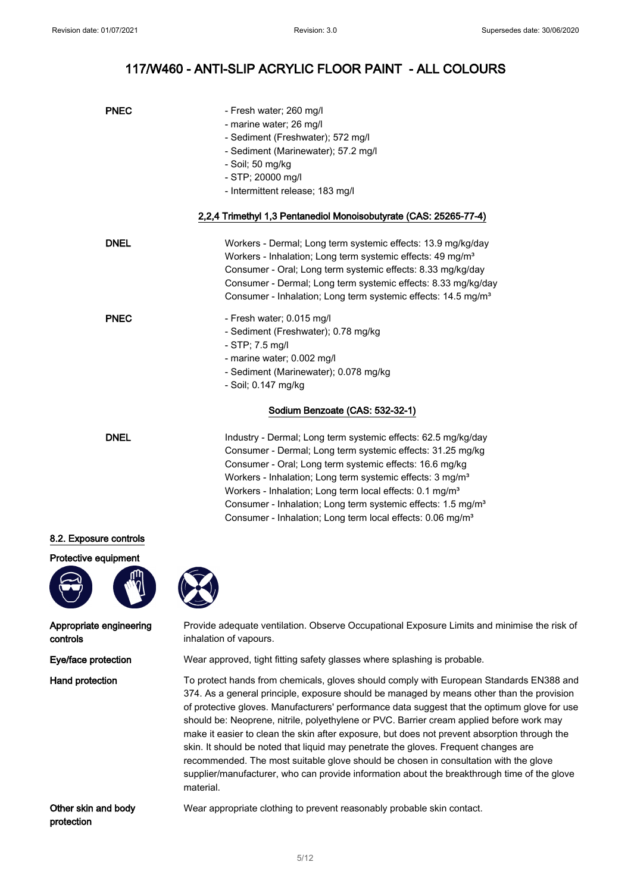| <b>PNEC</b> | - Fresh water; 260 mg/l<br>- marine water; 26 mg/l<br>- Sediment (Freshwater); 572 mg/l<br>- Sediment (Marinewater); 57.2 mg/l<br>- Soil; 50 mg/kg<br>- STP; 20000 mg/l<br>- Intermittent release; 183 mg/l                                                                                                                                         |
|-------------|-----------------------------------------------------------------------------------------------------------------------------------------------------------------------------------------------------------------------------------------------------------------------------------------------------------------------------------------------------|
|             | 2,2,4 Trimethyl 1,3 Pentanediol Monoisobutyrate (CAS: 25265-77-4)                                                                                                                                                                                                                                                                                   |
| <b>DNEL</b> | Workers - Dermal; Long term systemic effects: 13.9 mg/kg/day<br>Workers - Inhalation; Long term systemic effects: 49 mg/m <sup>3</sup><br>Consumer - Oral; Long term systemic effects: 8.33 mg/kg/day<br>Consumer - Dermal; Long term systemic effects: 8.33 mg/kg/day<br>Consumer - Inhalation; Long term systemic effects: 14.5 mg/m <sup>3</sup> |
| <b>PNEC</b> | - Fresh water: 0.015 mg/l<br>- Sediment (Freshwater); 0.78 mg/kg<br>- STP; 7.5 mg/l<br>- marine water; 0.002 mg/l<br>- Sediment (Marinewater); 0.078 mg/kg<br>- Soil; 0.147 mg/kg                                                                                                                                                                   |
|             | Sodium Benzoate (CAS: 532-32-1)                                                                                                                                                                                                                                                                                                                     |
| <b>DNEL</b> | Industry - Dermal; Long term systemic effects: 62.5 mg/kg/day                                                                                                                                                                                                                                                                                       |

Consumer - Dermal; Long term systemic effects: 31.25 mg/kg Consumer - Oral; Long term systemic effects: 16.6 mg/kg Workers - Inhalation; Long term systemic effects: 3 mg/m<sup>3</sup> Workers - Inhalation; Long term local effects: 0.1 mg/m<sup>3</sup> Consumer - Inhalation; Long term systemic effects: 1.5 mg/m<sup>3</sup> Consumer - Inhalation; Long term local effects: 0.06 mg/m<sup>3</sup>

### 8.2. Exposure controls

Protective equipment



Appropriate engineering controls

Provide adequate ventilation. Observe Occupational Exposure Limits and minimise the risk of inhalation of vapours.

Eye/face protection Wear approved, tight fitting safety glasses where splashing is probable.

Hand protection To protect hands from chemicals, gloves should comply with European Standards EN388 and 374. As a general principle, exposure should be managed by means other than the provision of protective gloves. Manufacturers' performance data suggest that the optimum glove for use should be: Neoprene, nitrile, polyethylene or PVC. Barrier cream applied before work may make it easier to clean the skin after exposure, but does not prevent absorption through the skin. It should be noted that liquid may penetrate the gloves. Frequent changes are recommended. The most suitable glove should be chosen in consultation with the glove supplier/manufacturer, who can provide information about the breakthrough time of the glove material.

Other skin and body protection

Wear appropriate clothing to prevent reasonably probable skin contact.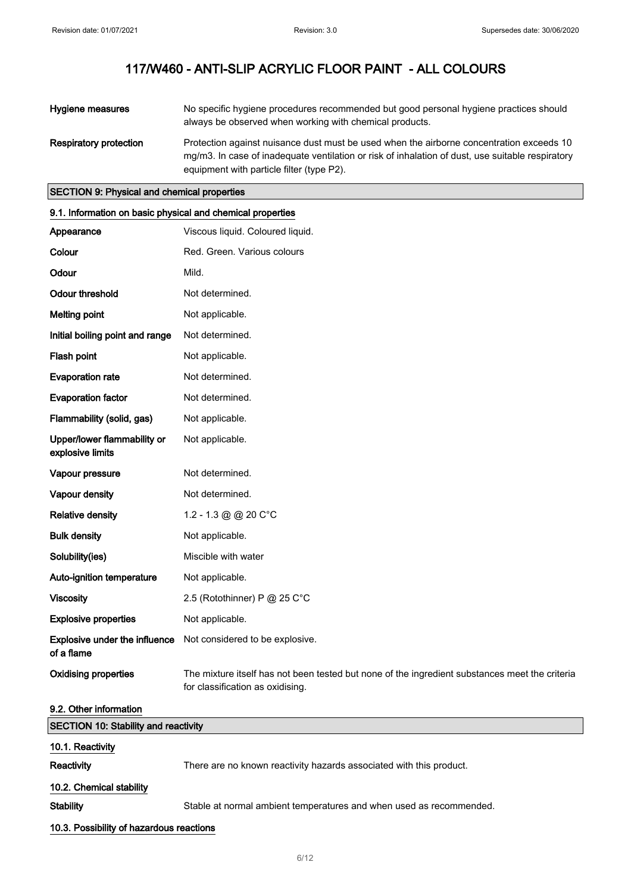| Hygiene measures              | No specific hygiene procedures recommended but good personal hygiene practices should<br>always be observed when working with chemical products.                                                                                          |
|-------------------------------|-------------------------------------------------------------------------------------------------------------------------------------------------------------------------------------------------------------------------------------------|
| <b>Respiratory protection</b> | Protection against nuisance dust must be used when the airborne concentration exceeds 10<br>mg/m3. In case of inadequate ventilation or risk of inhalation of dust, use suitable respiratory<br>equipment with particle filter (type P2). |

### SECTION 9: Physical and chemical properties

| 9.1. Information on basic physical and chemical properties |                                                                                                                                    |  |
|------------------------------------------------------------|------------------------------------------------------------------------------------------------------------------------------------|--|
| Appearance                                                 | Viscous liquid. Coloured liquid.                                                                                                   |  |
| Colour                                                     | Red. Green. Various colours                                                                                                        |  |
| Odour                                                      | Mild.                                                                                                                              |  |
| <b>Odour threshold</b>                                     | Not determined.                                                                                                                    |  |
| <b>Melting point</b>                                       | Not applicable.                                                                                                                    |  |
| Initial boiling point and range                            | Not determined.                                                                                                                    |  |
| Flash point                                                | Not applicable.                                                                                                                    |  |
| <b>Evaporation rate</b>                                    | Not determined.                                                                                                                    |  |
| <b>Evaporation factor</b>                                  | Not determined.                                                                                                                    |  |
| Flammability (solid, gas)                                  | Not applicable.                                                                                                                    |  |
| Upper/lower flammability or<br>explosive limits            | Not applicable.                                                                                                                    |  |
| Vapour pressure                                            | Not determined.                                                                                                                    |  |
| Vapour density                                             | Not determined.                                                                                                                    |  |
| <b>Relative density</b>                                    | 1.2 - 1.3 @ @ 20 $C^{\circ}C$                                                                                                      |  |
| <b>Bulk density</b>                                        | Not applicable.                                                                                                                    |  |
| Solubility(ies)                                            | Miscible with water                                                                                                                |  |
| Auto-ignition temperature                                  | Not applicable.                                                                                                                    |  |
| <b>Viscosity</b>                                           | 2.5 (Rotothinner) P @ 25 C°C                                                                                                       |  |
| <b>Explosive properties</b>                                | Not applicable.                                                                                                                    |  |
| Explosive under the influence<br>of a flame                | Not considered to be explosive.                                                                                                    |  |
| <b>Oxidising properties</b>                                | The mixture itself has not been tested but none of the ingredient substances meet the criteria<br>for classification as oxidising. |  |
| 9.2. Other information                                     |                                                                                                                                    |  |

| <b>SECTION 10: Stability and reactivity</b> |                                                                     |  |
|---------------------------------------------|---------------------------------------------------------------------|--|
| 10.1. Reactivity                            |                                                                     |  |
| <b>Reactivity</b>                           | There are no known reactivity hazards associated with this product. |  |
| 10.2. Chemical stability                    |                                                                     |  |
| <b>Stability</b>                            | Stable at normal ambient temperatures and when used as recommended. |  |
| 10.3. Possibility of hazardous reactions    |                                                                     |  |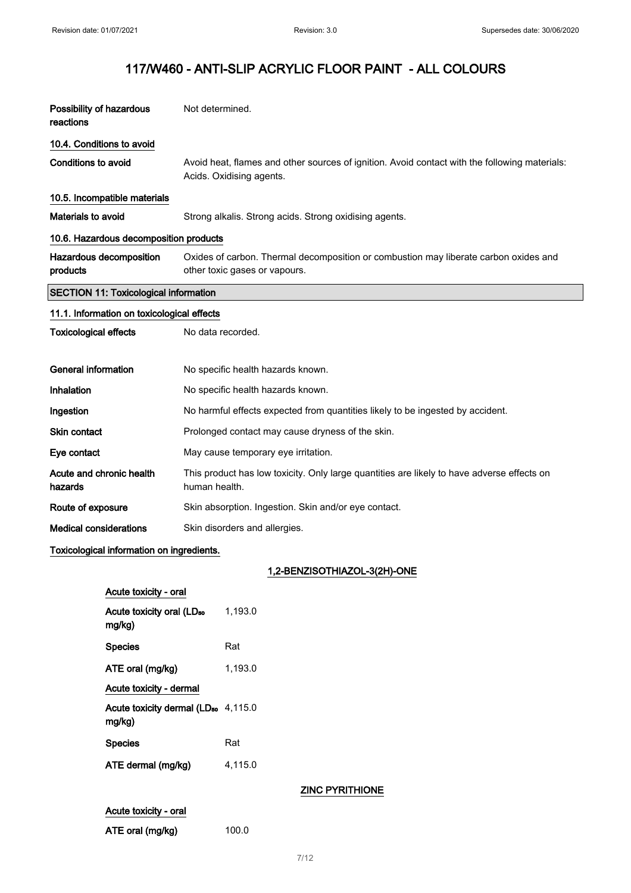| Possibility of hazardous<br>reactions        | Not determined.                                                                                                           |  |
|----------------------------------------------|---------------------------------------------------------------------------------------------------------------------------|--|
| 10.4. Conditions to avoid                    |                                                                                                                           |  |
| <b>Conditions to avoid</b>                   | Avoid heat, flames and other sources of ignition. Avoid contact with the following materials:<br>Acids. Oxidising agents. |  |
| 10.5. Incompatible materials                 |                                                                                                                           |  |
| <b>Materials to avoid</b>                    | Strong alkalis. Strong acids. Strong oxidising agents.                                                                    |  |
| 10.6. Hazardous decomposition products       |                                                                                                                           |  |
| Hazardous decomposition<br>products          | Oxides of carbon. Thermal decomposition or combustion may liberate carbon oxides and<br>other toxic gases or vapours.     |  |
| <b>SECTION 11: Toxicological information</b> |                                                                                                                           |  |
| 11.1. Information on toxicological effects   |                                                                                                                           |  |
| <b>Toxicological effects</b>                 | No data recorded.                                                                                                         |  |
| <b>General information</b>                   | No specific health hazards known.                                                                                         |  |
| Inhalation                                   | No specific health hazards known.                                                                                         |  |
| Ingestion                                    | No harmful effects expected from quantities likely to be ingested by accident.                                            |  |
| <b>Skin contact</b>                          | Prolonged contact may cause dryness of the skin.                                                                          |  |
| Eye contact                                  | May cause temporary eye irritation.                                                                                       |  |
| Acute and chronic health<br>hazards          | This product has low toxicity. Only large quantities are likely to have adverse effects on<br>human health.               |  |
| Route of exposure                            | Skin absorption. Ingestion. Skin and/or eye contact.                                                                      |  |
| <b>Medical considerations</b>                | Skin disorders and allergies.                                                                                             |  |
| Toxicological information on ingredients.    |                                                                                                                           |  |
|                                              | 1,2-BENZISOTHIAZOL-3(2H)-ONE                                                                                              |  |

### 1,2-BENZISOTHIAZOL-3(2H)-ONE

| Acute toxicity - oral                            |         |
|--------------------------------------------------|---------|
| Acute toxicity oral (LD <sub>50</sub><br>mg/kg)  | 1.193.0 |
| <b>Species</b>                                   | Rat     |
| ATE oral (mg/kg)                                 | 1.193.0 |
| Acute toxicity - dermal                          |         |
| Acute toxicity dermal ( $LDso$ 4,115.0<br>mg/kg) |         |
| <b>Species</b>                                   | Rat     |
| ATE dermal (mg/kg)                               | 4.115.0 |
|                                                  |         |

### ZINC PYRITHIONE

| Acute toxicity - oral |  |
|-----------------------|--|
| ATE oral (mg/kg)      |  |

 $100.0$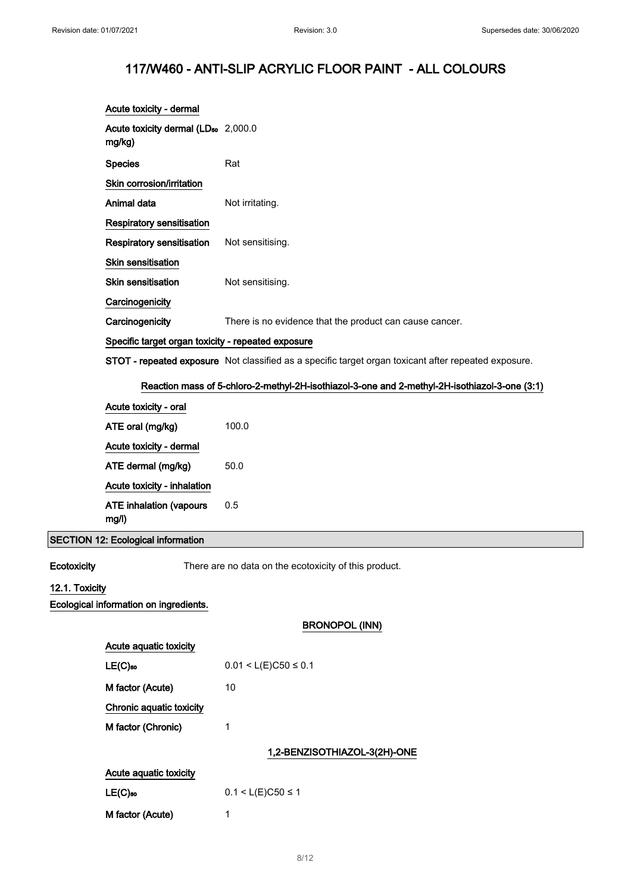# 117/W460 - ANTI-SLIP ACRYLIC FLOOR PAINT - ALL COLOURS

|                | Acute toxicity - dermal                                   |                                                                                                      |
|----------------|-----------------------------------------------------------|------------------------------------------------------------------------------------------------------|
|                | Acute toxicity dermal (LD <sub>50</sub> 2,000.0<br>mg/kg) |                                                                                                      |
|                | <b>Species</b>                                            | Rat                                                                                                  |
|                | Skin corrosion/irritation                                 |                                                                                                      |
|                | Animal data                                               | Not irritating.                                                                                      |
|                | Respiratory sensitisation                                 |                                                                                                      |
|                | <b>Respiratory sensitisation</b>                          | Not sensitising.                                                                                     |
|                | Skin sensitisation                                        |                                                                                                      |
|                | <b>Skin sensitisation</b>                                 | Not sensitising.                                                                                     |
|                | Carcinogenicity                                           |                                                                                                      |
|                | Carcinogenicity                                           | There is no evidence that the product can cause cancer.                                              |
|                | Specific target organ toxicity - repeated exposure        |                                                                                                      |
|                |                                                           | STOT - repeated exposure Not classified as a specific target organ toxicant after repeated exposure. |
|                |                                                           | Reaction mass of 5-chloro-2-methyl-2H-isothiazol-3-one and 2-methyl-2H-isothiazol-3-one (3:1)        |
|                | Acute toxicity - oral                                     |                                                                                                      |
|                | ATE oral (mg/kg)                                          | 100.0                                                                                                |
|                | Acute toxicity - dermal                                   |                                                                                                      |
|                | ATE dermal (mg/kg)                                        | 50.0                                                                                                 |
|                | Acute toxicity - inhalation                               |                                                                                                      |
|                | <b>ATE inhalation (vapours</b><br>mg/l)                   | 0.5                                                                                                  |
|                | <b>SECTION 12: Ecological information</b>                 |                                                                                                      |
| Ecotoxicity    |                                                           | There are no data on the ecotoxicity of this product.                                                |
| 12.1. Toxicity |                                                           |                                                                                                      |
|                | Ecological information on ingredients.                    |                                                                                                      |
|                |                                                           | <b>BRONOPOL (INN)</b>                                                                                |
|                | Acute aquatic toxicity                                    |                                                                                                      |
|                | $LE(C)$ <sub>50</sub>                                     | $0.01 < L(E)C50 \le 0.1$                                                                             |
|                | M factor (Acute)                                          | 10                                                                                                   |
|                | Chronic aquatic toxicity                                  |                                                                                                      |
|                | M factor (Chronic)                                        | 1                                                                                                    |
|                |                                                           | 1,2-BENZISOTHIAZOL-3(2H)-ONE                                                                         |
|                | Acute aquatic toxicity                                    |                                                                                                      |
|                | $LE(C)$ 50                                                | $0.1 < L(E)C50 \le 1$                                                                                |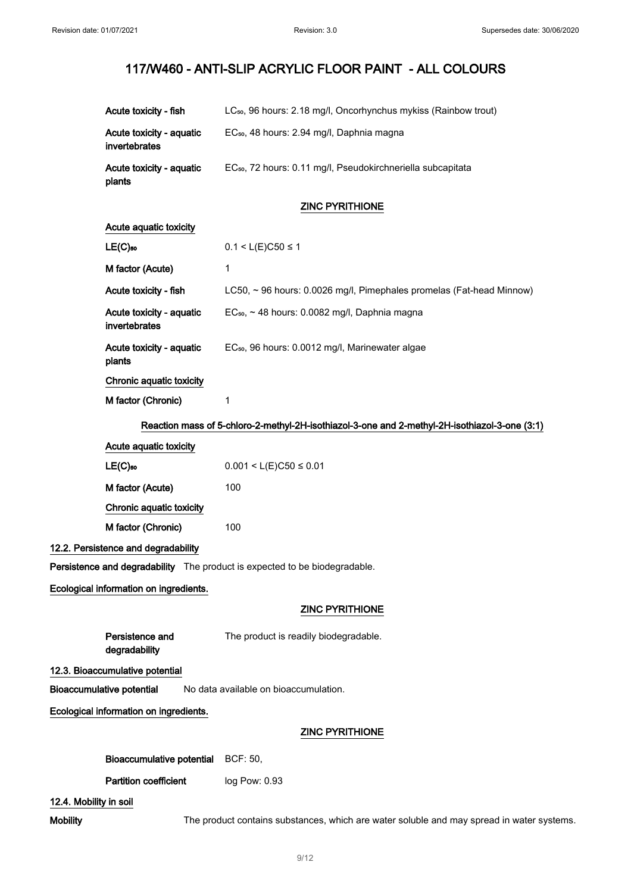| Acute toxicity - fish                                                      | LC <sub>50</sub> , 96 hours: 2.18 mg/l, Oncorhynchus mykiss (Rainbow trout)                   |  |
|----------------------------------------------------------------------------|-----------------------------------------------------------------------------------------------|--|
| Acute toxicity - aquatic<br>invertebrates                                  | EC <sub>50</sub> , 48 hours: 2.94 mg/l, Daphnia magna                                         |  |
| Acute toxicity - aquatic<br>plants                                         | EC <sub>50</sub> , 72 hours: 0.11 mg/l, Pseudokirchneriella subcapitata                       |  |
|                                                                            | <b>ZINC PYRITHIONE</b>                                                                        |  |
| Acute aquatic toxicity                                                     |                                                                                               |  |
| $LE(C)$ 50                                                                 | $0.1 < L(E)C50 \le 1$                                                                         |  |
| M factor (Acute)                                                           | 1                                                                                             |  |
| Acute toxicity - fish                                                      | LC50, ~ 96 hours: 0.0026 mg/l, Pimephales promelas (Fat-head Minnow)                          |  |
| Acute toxicity - aquatic<br>invertebrates                                  | EC <sub>50</sub> , ~ 48 hours: 0.0082 mg/l, Daphnia magna                                     |  |
| Acute toxicity - aquatic<br>plants                                         | EC <sub>50</sub> , 96 hours: 0.0012 mg/l, Marinewater algae                                   |  |
| Chronic aquatic toxicity                                                   |                                                                                               |  |
| M factor (Chronic)                                                         | 1                                                                                             |  |
|                                                                            | Reaction mass of 5-chloro-2-methyl-2H-isothiazol-3-one and 2-methyl-2H-isothiazol-3-one (3:1) |  |
| Acute aquatic toxicity                                                     |                                                                                               |  |
| $LE(C)$ <sub>50</sub>                                                      | $0.001 < L(E)C50 \le 0.01$                                                                    |  |
| M factor (Acute)                                                           | 100                                                                                           |  |
| Chronic aquatic toxicity                                                   |                                                                                               |  |
| M factor (Chronic)                                                         | 100                                                                                           |  |
| 12.2. Persistence and degradability                                        |                                                                                               |  |
| Persistence and degradability The product is expected to be biodegradable. |                                                                                               |  |
| Ecological information on ingredients.                                     |                                                                                               |  |
|                                                                            | <b>ZINC PYRITHIONE</b>                                                                        |  |
| Persistence and<br>degradability                                           | The product is readily biodegradable.                                                         |  |
| 12.3. Bioaccumulative potential                                            |                                                                                               |  |
| <b>Bioaccumulative potential</b>                                           | No data available on bioaccumulation.                                                         |  |
| Ecological information on ingredients.                                     |                                                                                               |  |
|                                                                            | <b>ZINC PYRITHIONE</b>                                                                        |  |
| Bioaccumulative potential                                                  | BCF: 50,                                                                                      |  |
| <b>Partition coefficient</b>                                               | log Pow: 0.93                                                                                 |  |
| 12.4. Mobility in soil                                                     |                                                                                               |  |

Mobility **The product contains substances**, which are water soluble and may spread in water systems.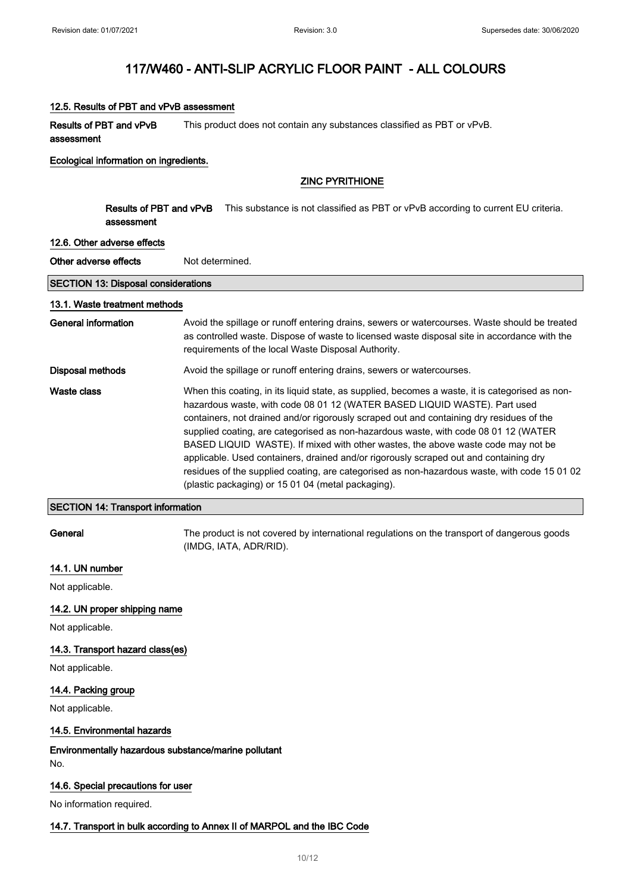### 12.5. Results of PBT and vPvB assessment

Results of PBT and vPvB assessment This product does not contain any substances classified as PBT or vPvB.

#### Ecological information on ingredients.

### ZINC PYRITHIONE

Results of PBT and vPvB assessment This substance is not classified as PBT or vPvB according to current EU criteria.

#### 12.6. Other adverse effects

Other adverse effects Not determined.

### SECTION 13: Disposal considerations

#### 13.1. Waste treatment methods

General information **Avoid the spillage or runoff entering drains**, sewers or watercourses. Waste should be treated as controlled waste. Dispose of waste to licensed waste disposal site in accordance with the requirements of the local Waste Disposal Authority. Disposal methods **Avoid the spillage or runoff entering drains**, sewers or watercourses. Waste class When this coating, in its liquid state, as supplied, becomes a waste, it is categorised as nonhazardous waste, with code 08 01 12 (WATER BASED LIQUID WASTE). Part used containers, not drained and/or rigorously scraped out and containing dry residues of the supplied coating, are categorised as non-hazardous waste, with code 08 01 12 (WATER BASED LIQUID WASTE). If mixed with other wastes, the above waste code may not be applicable. Used containers, drained and/or rigorously scraped out and containing dry

(plastic packaging) or 15 01 04 (metal packaging).

### SECTION 14: Transport information

General The product is not covered by international regulations on the transport of dangerous goods (IMDG, IATA, ADR/RID).

residues of the supplied coating, are categorised as non-hazardous waste, with code 15 01 02

### 14.1. UN number

Not applicable.

### 14.2. UN proper shipping name

Not applicable.

#### 14.3. Transport hazard class(es)

Not applicable.

### 14.4. Packing group

Not applicable.

### 14.5. Environmental hazards

Environmentally hazardous substance/marine pollutant No.

#### 14.6. Special precautions for user

No information required.

### 14.7. Transport in bulk according to Annex II of MARPOL and the IBC Code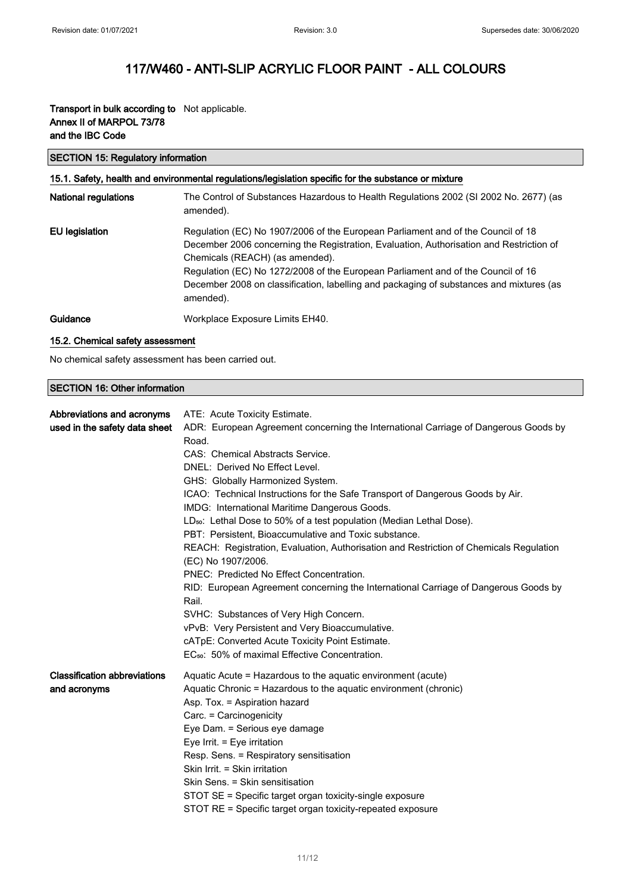### Transport in bulk according to Not applicable. Annex II of MARPOL 73/78 and the IBC Code

### SECTION 15: Regulatory information

# 15.1. Safety, health and environmental regulations/legislation specific for the substance or mixture

| <b>National regulations</b> | The Control of Substances Hazardous to Health Regulations 2002 (SI 2002 No. 2677) (as<br>amended).                                                                                                                                                                                                                                                                                                         |
|-----------------------------|------------------------------------------------------------------------------------------------------------------------------------------------------------------------------------------------------------------------------------------------------------------------------------------------------------------------------------------------------------------------------------------------------------|
| <b>EU</b> legislation       | Regulation (EC) No 1907/2006 of the European Parliament and of the Council of 18<br>December 2006 concerning the Registration, Evaluation, Authorisation and Restriction of<br>Chemicals (REACH) (as amended).<br>Regulation (EC) No 1272/2008 of the European Parliament and of the Council of 16<br>December 2008 on classification, labelling and packaging of substances and mixtures (as<br>amended). |
| Guidance                    | Workplace Exposure Limits EH40.                                                                                                                                                                                                                                                                                                                                                                            |

### 15.2. Chemical safety assessment

No chemical safety assessment has been carried out.

### SECTION 16: Other information

| Abbreviations and acronyms<br>used in the safety data sheet | ATE: Acute Toxicity Estimate.<br>ADR: European Agreement concerning the International Carriage of Dangerous Goods by<br>Road.<br>CAS: Chemical Abstracts Service.<br>DNEL: Derived No Effect Level.<br>GHS: Globally Harmonized System.<br>ICAO: Technical Instructions for the Safe Transport of Dangerous Goods by Air.<br>IMDG: International Maritime Dangerous Goods.<br>LD <sub>50</sub> : Lethal Dose to 50% of a test population (Median Lethal Dose).<br>PBT: Persistent, Bioaccumulative and Toxic substance.<br>REACH: Registration, Evaluation, Authorisation and Restriction of Chemicals Regulation<br>(EC) No 1907/2006.<br>PNEC: Predicted No Effect Concentration.<br>RID: European Agreement concerning the International Carriage of Dangerous Goods by<br>Rail.<br>SVHC: Substances of Very High Concern.<br>vPvB: Very Persistent and Very Bioaccumulative.<br>cATpE: Converted Acute Toxicity Point Estimate.<br>EC <sub>50</sub> : 50% of maximal Effective Concentration. |
|-------------------------------------------------------------|---------------------------------------------------------------------------------------------------------------------------------------------------------------------------------------------------------------------------------------------------------------------------------------------------------------------------------------------------------------------------------------------------------------------------------------------------------------------------------------------------------------------------------------------------------------------------------------------------------------------------------------------------------------------------------------------------------------------------------------------------------------------------------------------------------------------------------------------------------------------------------------------------------------------------------------------------------------------------------------------------|
| <b>Classification abbreviations</b><br>and acronyms         | Aquatic Acute = Hazardous to the aquatic environment (acute)<br>Aquatic Chronic = Hazardous to the aquatic environment (chronic)<br>Asp. Tox. = Aspiration hazard<br>Carc. = Carcinogenicity<br>Eye Dam. = Serious eye damage<br>Eye Irrit. $=$ Eye irritation<br>Resp. Sens. = Respiratory sensitisation<br>Skin Irrit. = Skin irritation<br>Skin Sens. = Skin sensitisation<br>STOT SE = Specific target organ toxicity-single exposure<br>STOT RE = Specific target organ toxicity-repeated exposure                                                                                                                                                                                                                                                                                                                                                                                                                                                                                           |